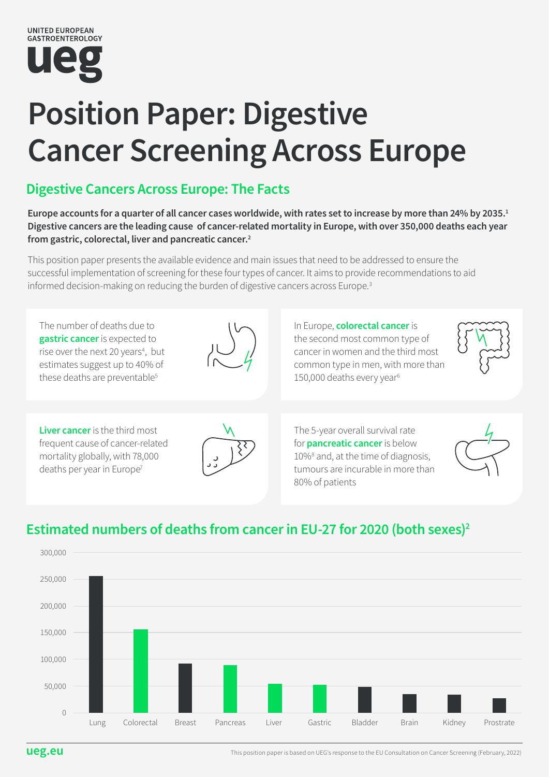

# Position Paper: Digestive Cancer Screening Across Europe

### Digestive Cancers Across Europe: The Facts

Europe accounts for a quarter of all cancer cases worldwide, with rates set to increase by more than 24% by 2035.<sup>1</sup> Digestive cancers are the leading cause of cancer-related mortality in Europe, with over 350,000 deaths each year from gastric, colorectal, liver and pancreatic cancer.<sup>2</sup>

This position paper presents the available evidence and main issues that need to be addressed to ensure the successful implementation of screening for these four types of cancer. It aims to provide recommendations to aid informed decision-making on reducing the burden of digestive cancers across Europe.<sup>3</sup>



### Estimated numbers of deaths from cancer in EU-27 for 2020 (both sexes)2

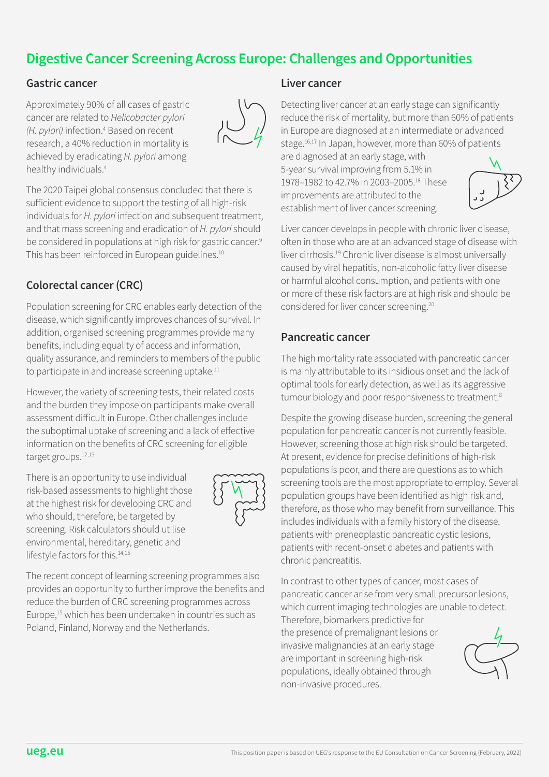### Digestive Cancer Screening Across Europe: Challenges and Opportunities

#### Gastric cancer

Approximately 90% of all cases of gastric cancer are related to *Helicobacter pylori*  (H. pylori) infection.<sup>4</sup> Based on recent research, a 40% reduction in mortality is achieved by eradicating *H. pylori* among healthy individuals.4



The 2020 Taipei global consensus concluded that there is sufficient evidence to support the testing of all high-risk individuals for *H. pylori* infection and subsequent treatment, and that mass screening and eradication of *H. pylori* should be considered in populations at high risk for gastric cancer.<sup>9</sup> This has been reinforced in European guidelines.<sup>10</sup>

### Colorectal cancer (CRC)

Population screening for CRC enables early detection of the disease, which significantly improves chances of survival. In addition, organised screening programmes provide many benefits, including equality of access and information, quality assurance, and reminders to members of the public to participate in and increase screening uptake.<sup>11</sup>

However, the variety of screening tests, their related costs and the burden they impose on participants make overall assessment difficult in Europe. Other challenges include the suboptimal uptake of screening and a lack of effective information on the benefits of CRC screening for eligible target groups.<sup>12,13</sup>

There is an opportunity to use individual risk-based assessments to highlight those at the highest risk for developing CRC and who should, therefore, be targeted by screening. Risk calculators should utilise environmental, hereditary, genetic and lifestyle factors for this.<sup>14,15</sup>



The recent concept of learning screening programmes also provides an opportunity to further improve the benefits and reduce the burden of CRC screening programmes across Europe,<sup>15</sup> which has been undertaken in countries such as Poland, Finland, Norway and the Netherlands.

#### Liver cancer

Detecting liver cancer at an early stage can significantly reduce the risk of mortality, but more than 60% of patients in Europe are diagnosed at an intermediate or advanced stage.<sup>16,17</sup> In Japan, however, more than 60% of patients

are diagnosed at an early stage, with 5-year survival improving from 5.1% in 1978–1982 to 42.7% in 2003–2005.18 These improvements are attributed to the establishment of liver cancer screening.



Liver cancer develops in people with chronic liver disease, often in those who are at an advanced stage of disease with liver cirrhosis.19 Chronic liver disease is almost universally caused by viral hepatitis, non-alcoholic fatty liver disease or harmful alcohol consumption, and patients with one or more of these risk factors are at high risk and should be considered for liver cancer screening.20

#### Pancreatic cancer

The high mortality rate associated with pancreatic cancer is mainly attributable to its insidious onset and the lack of optimal tools for early detection, as well as its aggressive tumour biology and poor responsiveness to treatment.<sup>8</sup>

Despite the growing disease burden, screening the general population for pancreatic cancer is not currently feasible. However, screening those at high risk should be targeted. At present, evidence for precise definitions of high-risk populations is poor, and there are questions as to which screening tools are the most appropriate to employ. Several population groups have been identified as high risk and, therefore, as those who may benefit from surveillance. This includes individuals with a family history of the disease, patients with preneoplastic pancreatic cystic lesions, patients with recent-onset diabetes and patients with chronic pancreatitis.

In contrast to other types of cancer, most cases of pancreatic cancer arise from very small precursor lesions, which current imaging technologies are unable to detect.

Therefore, biomarkers predictive for the presence of premalignant lesions or invasive malignancies at an early stage are important in screening high-risk populations, ideally obtained through non-invasive procedures.

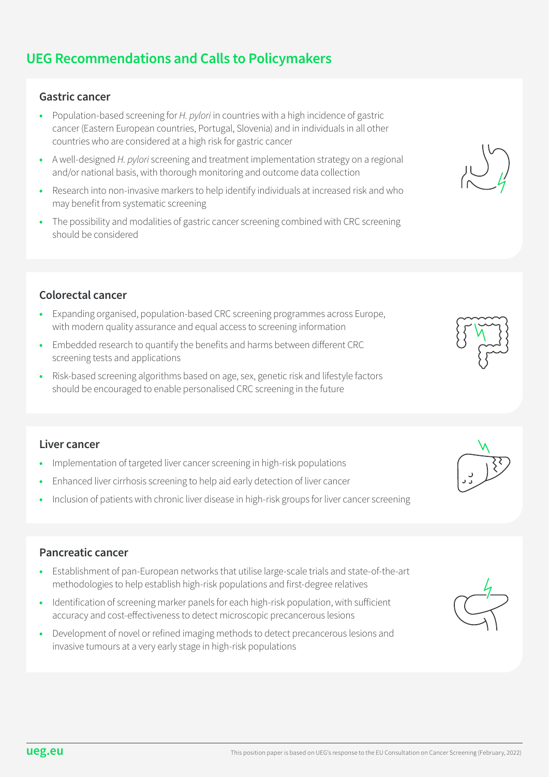## UEG Recommendations and Calls to Policymakers

### Gastric cancer

- Population-based screening for *H. pylori* in countries with a high incidence of gastric cancer (Eastern European countries, Portugal, Slovenia) and in individuals in all other countries who are considered at a high risk for gastric cancer
- A well-designed *H. pylori* screening and treatment implementation strategy on a regional and/or national basis, with thorough monitoring and outcome data collection
- Research into non-invasive markers to help identify individuals at increased risk and who may benefit from systematic screening
- The possibility and modalities of gastric cancer screening combined with CRC screening should be considered

### Colorectal cancer

- Expanding organised, population-based CRC screening programmes across Europe, with modern quality assurance and equal access to screening information
- Embedded research to quantify the benefits and harms between different CRC screening tests and applications
- Risk-based screening algorithms based on age, sex, genetic risk and lifestyle factors should be encouraged to enable personalised CRC screening in the future

### Liver cancer

- Implementation of targeted liver cancer screening in high-risk populations
- Enhanced liver cirrhosis screening to help aid early detection of liver cancer
- Inclusion of patients with chronic liver disease in high-risk groups for liver cancer screening

### Pancreatic cancer

- Establishment of pan-European networks that utilise large-scale trials and state-of-the-art methodologies to help establish high-risk populations and first-degree relatives
- Identification of screening marker panels for each high-risk population, with sufficient accuracy and cost-effectiveness to detect microscopic precancerous lesions
- Development of novel or refined imaging methods to detect precancerous lesions and invasive tumours at a very early stage in high-risk populations